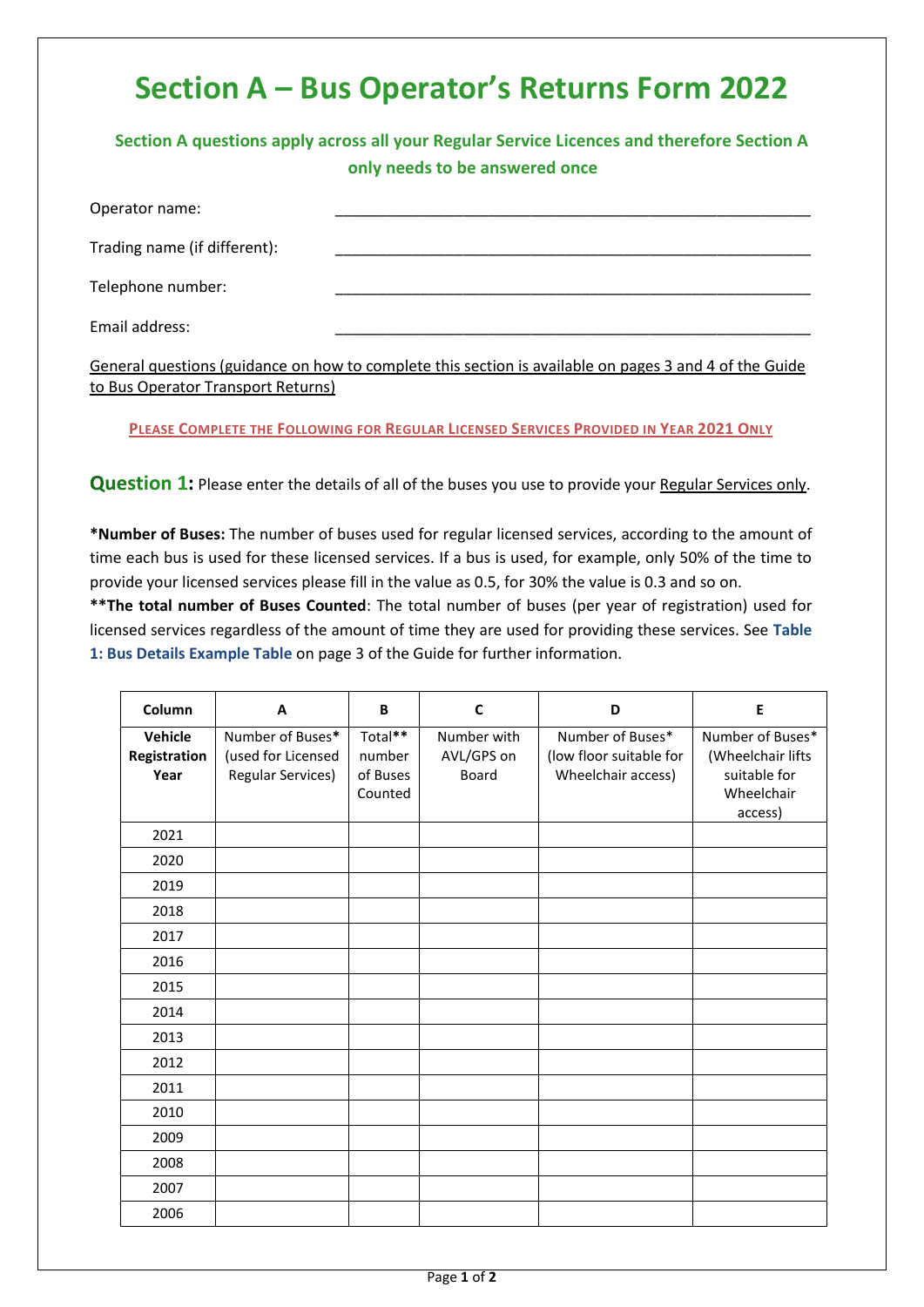## **Section A – Bus Operator's Returns Form 2022**

**Section A questions apply across all your Regular Service Licences and therefore Section A only needs to be answered once**

| Operator name:               |  |
|------------------------------|--|
| Trading name (if different): |  |
| Telephone number:            |  |
| Email address:               |  |

General questions (guidance on how to complete this section is available on pages 3 and 4 of the Guide to Bus Operator Transport Returns)

**PLEASE COMPLETE THE FOLLOWING FOR REGULAR LICENSED SERVICES PROVIDED IN YEAR 2021 ONLY**

**Question 1:** Please enter the details of all of the buses you use to provide your Regular Services only.

**\*Number of Buses:** The number of buses used for regular licensed services, according to the amount of time each bus is used for these licensed services. If a bus is used, for example, only 50% of the time to provide your licensed services please fill in the value as 0.5, for 30% the value is 0.3 and so on.

**\*\*The total number of Buses Counted**: The total number of buses (per year of registration) used for licensed services regardless of the amount of time they are used for providing these services. See **Table 1: Bus Details Example Table** on page 3 of the Guide for further information.

| Column                          | A                                                                  | B                                        | C                                         | D                                                                 | E                                                                              |
|---------------------------------|--------------------------------------------------------------------|------------------------------------------|-------------------------------------------|-------------------------------------------------------------------|--------------------------------------------------------------------------------|
| Vehicle<br>Registration<br>Year | Number of Buses*<br>(used for Licensed<br><b>Regular Services)</b> | Total**<br>number<br>of Buses<br>Counted | Number with<br>AVL/GPS on<br><b>Board</b> | Number of Buses*<br>(low floor suitable for<br>Wheelchair access) | Number of Buses*<br>(Wheelchair lifts<br>suitable for<br>Wheelchair<br>access) |
| 2021                            |                                                                    |                                          |                                           |                                                                   |                                                                                |
| 2020                            |                                                                    |                                          |                                           |                                                                   |                                                                                |
| 2019                            |                                                                    |                                          |                                           |                                                                   |                                                                                |
| 2018                            |                                                                    |                                          |                                           |                                                                   |                                                                                |
| 2017                            |                                                                    |                                          |                                           |                                                                   |                                                                                |
| 2016                            |                                                                    |                                          |                                           |                                                                   |                                                                                |
| 2015                            |                                                                    |                                          |                                           |                                                                   |                                                                                |
| 2014                            |                                                                    |                                          |                                           |                                                                   |                                                                                |
| 2013                            |                                                                    |                                          |                                           |                                                                   |                                                                                |
| 2012                            |                                                                    |                                          |                                           |                                                                   |                                                                                |
| 2011                            |                                                                    |                                          |                                           |                                                                   |                                                                                |
| 2010                            |                                                                    |                                          |                                           |                                                                   |                                                                                |
| 2009                            |                                                                    |                                          |                                           |                                                                   |                                                                                |
| 2008                            |                                                                    |                                          |                                           |                                                                   |                                                                                |
| 2007                            |                                                                    |                                          |                                           |                                                                   |                                                                                |
| 2006                            |                                                                    |                                          |                                           |                                                                   |                                                                                |